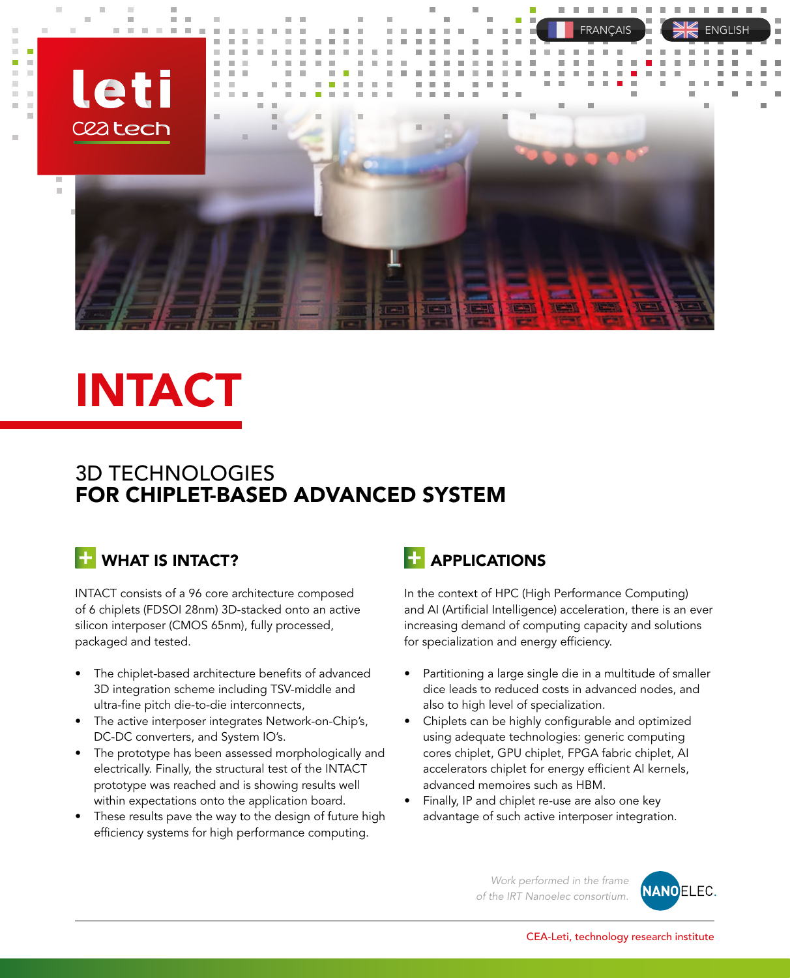

# INTACT

#### 3D TECHNOLOGIES TECHNOLOGIES 3D FOR CHIPLET-BASED ADVANCED SYSTEM

## WHAT IS INTACT?

INTACT consists of a 96 core architecture composed of 6 chiplets (FDSOI 28nm) 3D-stacked onto an active silicon interposer (CMOS 65nm), fully processed, packaged and tested.

- $\bullet$  The chiplet-based architecture benefits of advanced 3D integration scheme including TSV-middle and ultra-fine pitch die-to-die interconnects,
- $\bullet$  The active interposer integrates Network-on-Chip's, DC-DC converters, and System IO's.
- $\bullet$  The prototype has been assessed morphologically and electrically. Finally, the structural test of the INTACT prototype was reached and is showing results well within expectations onto the application board.
- $\bullet$  These results pave the way to the design of future high efficiency systems for high performance computing.

## **HAPPLICATIONS**

In the context of HPC (High Performance Computing) and AI (Artificial Intelligence) acceleration, there is an ever increasing demand of computing capacity and solutions for specialization and energy efficiency.

- $\bullet$  Partitioning a large single die in a multitude of smaller dice leads to reduced costs in advanced nodes, and also to high level of specialization.
- $\bullet$  Chiplets can be highly configurable and optimized using adequate technologies: generic computing cores chiplet, GPU chiplet, FPGA fabric chiplet, AI accelerators chiplet for energy efficient AI kernels,<br>advanced memoires such as HBM. advanced memoires such as HBM.
- $\bullet$  Finally, IP and chiplet re-use are also one key advantage of such active interposer integration.

*Work performed in the frame of the IRT Nanoelec consortium.*